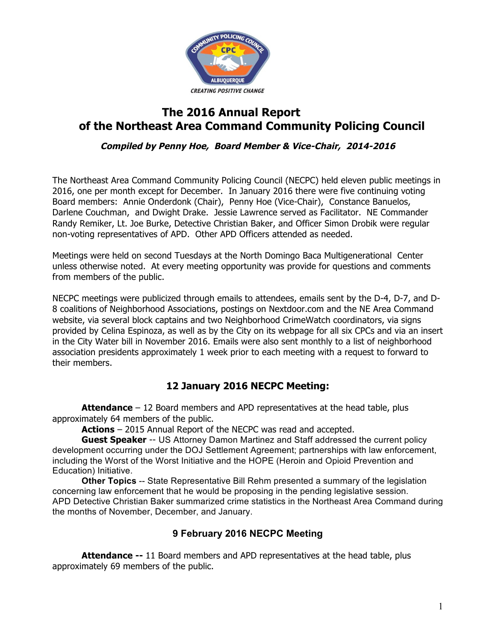

# **The 2016 Annual Report of the Northeast Area Command Community Policing Council**

**Compiled by Penny Hoe, Board Member & Vice-Chair, 2014-2016**

The Northeast Area Command Community Policing Council (NECPC) held eleven public meetings in 2016, one per month except for December. In January 2016 there were five continuing voting Board members: Annie Onderdonk (Chair), Penny Hoe (Vice-Chair), Constance Banuelos, Darlene Couchman, and Dwight Drake. Jessie Lawrence served as Facilitator. NE Commander Randy Remiker, Lt. Joe Burke, Detective Christian Baker, and Officer Simon Drobik were regular non-voting representatives of APD. Other APD Officers attended as needed.

Meetings were held on second Tuesdays at the North Domingo Baca Multigenerational Center unless otherwise noted. At every meeting opportunity was provide for questions and comments from members of the public.

NECPC meetings were publicized through emails to attendees, emails sent by the D-4, D-7, and D-8 coalitions of Neighborhood Associations, postings on Nextdoor.com and the NE Area Command website, via several block captains and two Neighborhood CrimeWatch coordinators, via signs provided by Celina Espinoza, as well as by the City on its webpage for all six CPCs and via an insert in the City Water bill in November 2016. Emails were also sent monthly to a list of neighborhood association presidents approximately 1 week prior to each meeting with a request to forward to their members.

# **12 January 2016 NECPC Meeting:**

**Attendance** – 12 Board members and APD representatives at the head table, plus approximately 64 members of the public.

**Actions** – 2015 Annual Report of the NECPC was read and accepted.

**Guest Speaker** -- US Attorney Damon Martinez and Staff addressed the current policy development occurring under the DOJ Settlement Agreement; partnerships with law enforcement, including the Worst of the Worst Initiative and the HOPE (Heroin and Opioid Prevention and Education) Initiative.

**Other Topics** -- State Representative Bill Rehm presented a summary of the legislation concerning law enforcement that he would be proposing in the pending legislative session. APD Detective Christian Baker summarized crime statistics in the Northeast Area Command during the months of November, December, and January.

## **9 February 2016 NECPC Meeting**

**Attendance --** 11 Board members and APD representatives at the head table, plus approximately 69 members of the public.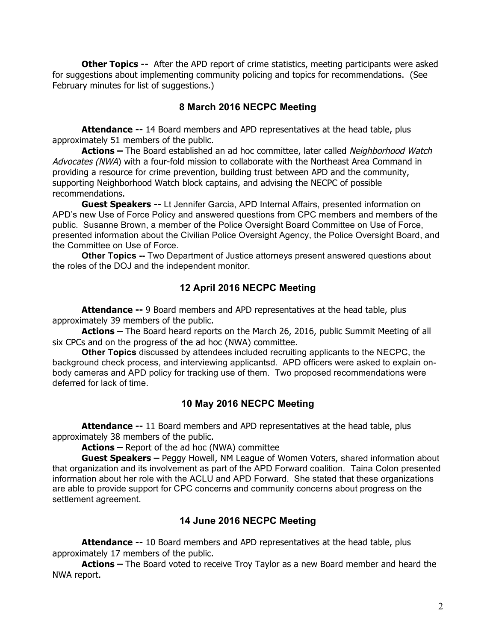**Other Topics --** After the APD report of crime statistics, meeting participants were asked for suggestions about implementing community policing and topics for recommendations. (See February minutes for list of suggestions.)

### **8 March 2016 NECPC Meeting**

**Attendance --** 14 Board members and APD representatives at the head table, plus approximately 51 members of the public.

**Actions –** The Board established an ad hoc committee, later called Neighborhood Watch Advocates (NWA) with a four-fold mission to collaborate with the Northeast Area Command in providing a resource for crime prevention, building trust between APD and the community, supporting Neighborhood Watch block captains, and advising the NECPC of possible recommendations.

**Guest Speakers --** Lt Jennifer Garcia, APD Internal Affairs, presented information on APD's new Use of Force Policy and answered questions from CPC members and members of the public. Susanne Brown, a member of the Police Oversight Board Committee on Use of Force, presented information about the Civilian Police Oversight Agency, the Police Oversight Board, and the Committee on Use of Force.

**Other Topics --** Two Department of Justice attorneys present answered questions about the roles of the DOJ and the independent monitor.

#### **12 April 2016 NECPC Meeting**

**Attendance --** 9 Board members and APD representatives at the head table, plus approximately 39 members of the public.

**Actions –** The Board heard reports on the March 26, 2016, public Summit Meeting of all six CPCs and on the progress of the ad hoc (NWA) committee.

**Other Topics** discussed by attendees included recruiting applicants to the NECPC, the background check process, and interviewing applicantsd. APD officers were asked to explain onbody cameras and APD policy for tracking use of them. Two proposed recommendations were deferred for lack of time.

#### **10 May 2016 NECPC Meeting**

**Attendance --** 11 Board members and APD representatives at the head table, plus approximately 38 members of the public.

**Actions –** Report of the ad hoc (NWA) committee

**Guest Speakers –** Peggy Howell, NM League of Women Voters, shared information about that organization and its involvement as part of the APD Forward coalition. Taina Colon presented information about her role with the ACLU and APD Forward. She stated that these organizations are able to provide support for CPC concerns and community concerns about progress on the settlement agreement.

#### **14 June 2016 NECPC Meeting**

**Attendance --** 10 Board members and APD representatives at the head table, plus approximately 17 members of the public.

**Actions –** The Board voted to receive Troy Taylor as a new Board member and heard the NWA report.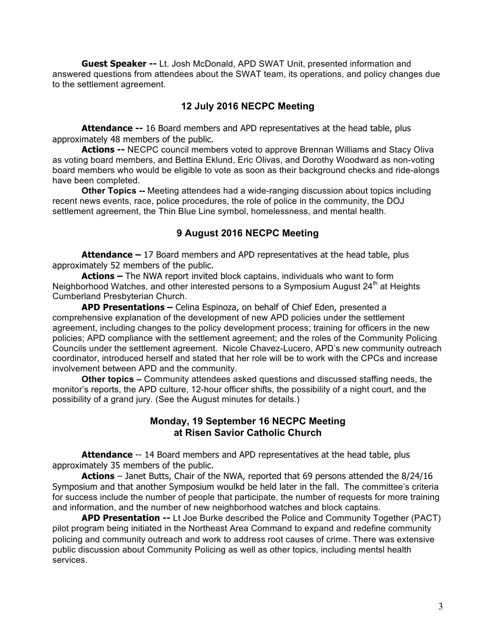**Guest Speaker --** Lt. Josh McDonald, APD SWAT Unit, presented information and answered questions from attendees about the SWAT team, its operations, and policy changes due to the settlement agreement.

#### **12 July 2016 NECPC Meeting**

**Attendance --** 16 Board members and APD representatives at the head table, plus approximately 48 members of the public.

**Actions --** NECPC council members voted to approve Brennan Williams and Stacy Oliva as voting board members, and Bettina Eklund, Eric Olivas, and Dorothy Woodward as non-voting board members who would be eligible to vote as soon as their background checks and ride-alongs have been completed.

**Other Topics --** Meeting attendees had a wide-ranging discussion about topics including recent news events, race, police procedures, the role of police in the community, the DOJ settlement agreement, the Thin Blue Line symbol, homelessness, and mental health.

#### **9 August 2016 NECPC Meeting**

**Attendance –** 17 Board members and APD representatives at the head table, plus approximately 52 members of the public.

**Actions –** The NWA report invited block captains, individuals who want to form Neighborhood Watches, and other interested persons to a Symposium August  $24<sup>th</sup>$  at Heights Cumberland Presbyterian Church.

**APD Presentations –** Celina Espinoza, on behalf of Chief Eden, presented a comprehensive explanation of the development of new APD policies under the settlement agreement, including changes to the policy development process; training for officers in the new policies; APD compliance with the settlement agreement; and the roles of the Community Policing Councils under the settlement agreement. Nicole Chavez-Lucero, APD's new community outreach coordinator, introduced herself and stated that her role will be to work with the CPCs and increase involvement between APD and the community.

**Other topics –** Community attendees asked questions and discussed staffing needs, the monitor's reports, the APD culture, 12-hour officer shifts, the possibility of a night court, and the possibility of a grand jury. (See the August minutes for details.)

#### **Monday, 19 September 16 NECPC Meeting at Risen Savior Catholic Church**

**Attendance** -- 14 Board members and APD representatives at the head table, plus approximately 35 members of the public.

**Actions** – Janet Butts, Chair of the NWA, reported that 69 persons attended the 8/24/16 Symposium and that another Symposium woulkd be held later in the fall. The committee's criteria for success include the number of people that participate, the number of requests for more training and information, and the number of new neighborhood watches and block captains.

**APD Presentation --** Lt Joe Burke described the Police and Community Together (PACT) pilot program being initiated in the Northeast Area Command to expand and redefine community policing and community outreach and work to address root causes of crime. There was extensive public discussion about Community Policing as well as other topics, including mentsl health services.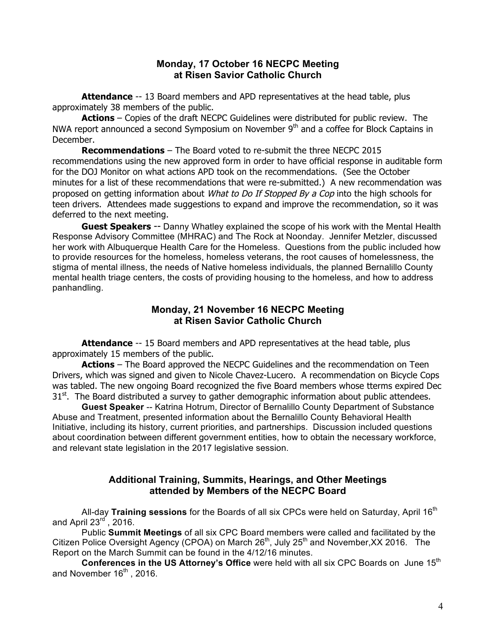#### **Monday, 17 October 16 NECPC Meeting at Risen Savior Catholic Church**

**Attendance** -- 13 Board members and APD representatives at the head table, plus approximately 38 members of the public.

**Actions** – Copies of the draft NECPC Guidelines were distributed for public review. The NWA report announced a second Symposium on November 9<sup>th</sup> and a coffee for Block Captains in December.

**Recommendations** – The Board voted to re-submit the three NECPC 2015 recommendations using the new approved form in order to have official response in auditable form for the DOJ Monitor on what actions APD took on the recommendations. (See the October minutes for a list of these recommendations that were re-submitted.) A new recommendation was proposed on getting information about *What to Do If Stopped By a Cop* into the high schools for teen drivers. Attendees made suggestions to expand and improve the recommendation, so it was deferred to the next meeting.

**Guest Speakers** -- Danny Whatley explained the scope of his work with the Mental Health Response Advisory Committee (MHRAC) and The Rock at Noonday. Jennifer Metzler, discussed her work with Albuquerque Health Care for the Homeless. Questions from the public included how to provide resources for the homeless, homeless veterans, the root causes of homelessness, the stigma of mental illness, the needs of Native homeless individuals, the planned Bernalillo County mental health triage centers, the costs of providing housing to the homeless, and how to address panhandling.

#### **Monday, 21 November 16 NECPC Meeting at Risen Savior Catholic Church**

**Attendance** -- 15 Board members and APD representatives at the head table, plus approximately 15 members of the public.

**Actions** – The Board approved the NECPC Guidelines and the recommendation on Teen Drivers, which was signed and given to Nicole Chavez-Lucero. A recommendation on Bicycle Cops was tabled. The new ongoing Board recognized the five Board members whose tterms expired Dec  $31<sup>st</sup>$ . The Board distributed a survey to gather demographic information about public attendees.

**Guest Speaker** -- Katrina Hotrum, Director of Bernalillo County Department of Substance Abuse and Treatment, presented information about the Bernalillo County Behavioral Health Initiative, including its history, current priorities, and partnerships. Discussion included questions about coordination between different government entities, how to obtain the necessary workforce, and relevant state legislation in the 2017 legislative session.

#### **Additional Training, Summits, Hearings, and Other Meetings attended by Members of the NECPC Board**

All-day **Training sessions** for the Boards of all six CPCs were held on Saturday, April 16<sup>th</sup> and April  $23^{\text{rd}}$ , 2016.

Public **Summit Meetings** of all six CPC Board members were called and facilitated by the Citizen Police Oversight Agency (CPOA) on March 26<sup>th</sup>, July 25<sup>th</sup> and November, XX 2016. The Report on the March Summit can be found in the 4/12/16 minutes.

**Conferences in the US Attorney's Office** were held with all six CPC Boards on June 15<sup>th</sup> and November  $16<sup>th</sup>$ , 2016.